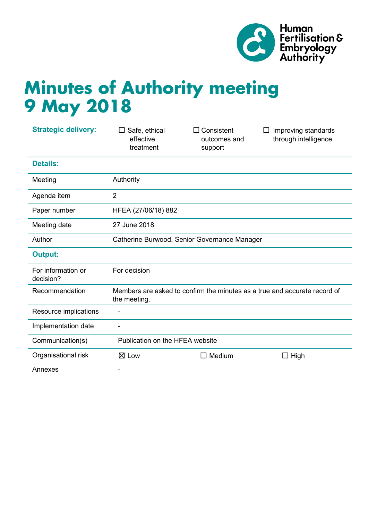

# **Minutes of Authority meeting 9 May 2018**

| <b>Strategic delivery:</b>      | Safe, ethical<br>$\perp$<br>effective<br>treatment                                        | Consistent<br>outcomes and<br>support | Improving standards<br>$\perp$<br>through intelligence |
|---------------------------------|-------------------------------------------------------------------------------------------|---------------------------------------|--------------------------------------------------------|
| <b>Details:</b>                 |                                                                                           |                                       |                                                        |
| Meeting                         | Authority                                                                                 |                                       |                                                        |
| Agenda item                     | $\overline{2}$                                                                            |                                       |                                                        |
| Paper number                    | HFEA (27/06/18) 882                                                                       |                                       |                                                        |
| Meeting date                    | 27 June 2018                                                                              |                                       |                                                        |
| Author                          | Catherine Burwood, Senior Governance Manager                                              |                                       |                                                        |
| <b>Output:</b>                  |                                                                                           |                                       |                                                        |
| For information or<br>decision? | For decision                                                                              |                                       |                                                        |
| Recommendation                  | Members are asked to confirm the minutes as a true and accurate record of<br>the meeting. |                                       |                                                        |
| Resource implications           | ÷                                                                                         |                                       |                                                        |
| Implementation date             | ۰                                                                                         |                                       |                                                        |
| Communication(s)                | Publication on the HFEA website                                                           |                                       |                                                        |
| Organisational risk             | $\boxtimes$ Low                                                                           | $\Box$ Medium                         | $\Box$ High                                            |
| Annexes                         |                                                                                           |                                       |                                                        |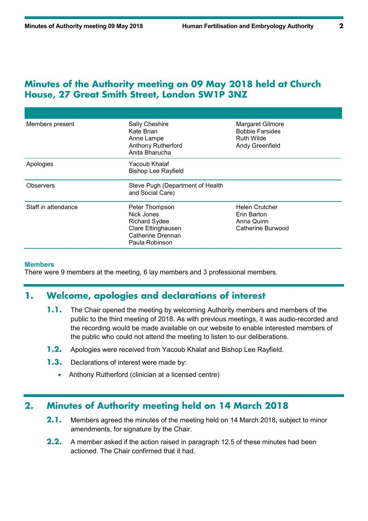# **Minutes of the Authority meeting on 09 May 2018 held at Church House, 27 Great Smith Street, London SW1P 3NZ**

| Members present     | <b>Sally Cheshire</b><br>Kate Brian<br>Anne Lampe<br><b>Anthony Rutherford</b><br>Anita Bharucha                  | Margaret Gilmore<br><b>Bobbie Farsides</b><br><b>Ruth Wilde</b><br>Andy Greenfield |
|---------------------|-------------------------------------------------------------------------------------------------------------------|------------------------------------------------------------------------------------|
| Apologies           | Yacoub Khalaf<br><b>Bishop Lee Rayfield</b>                                                                       |                                                                                    |
| Observers           | Steve Pugh (Department of Health<br>and Social Care)                                                              |                                                                                    |
| Staff in attendance | Peter Thompson<br>Nick Jones<br><b>Richard Sydee</b><br>Clare Ettinghausen<br>Catherine Drennan<br>Paula Robinson | <b>Helen Crutcher</b><br>Erin Barton<br>Anna Quinn<br>Catherine Burwood            |

#### **Members**

There were 9 members at the meeting, 6 lay members and 3 professional members.

## **1. Welcome, apologies and declarations of interest**

- **1.1.** The Chair opened the meeting by welcoming Authority members and members of the public to the third meeting of 2018. As with previous meetings, it was audio-recorded and the recording would be made available on our website to enable interested members of the public who could not attend the meeting to listen to our deliberations.
- **1.2.** Apologies were received from Yacoub Khalaf and Bishop Lee Rayfield.
- **1.3.** Declarations of interest were made by:
	- Anthony Rutherford (clinician at a licensed centre)

## **2. Minutes of Authority meeting held on 14 March 2018**

- **2.1.** Members agreed the minutes of the meeting held on 14 March 2018, subject to minor amendments, for signature by the Chair.
- **2.2.** A member asked if the action raised in paragraph 12.5 of these minutes had been actioned. The Chair confirmed that it had.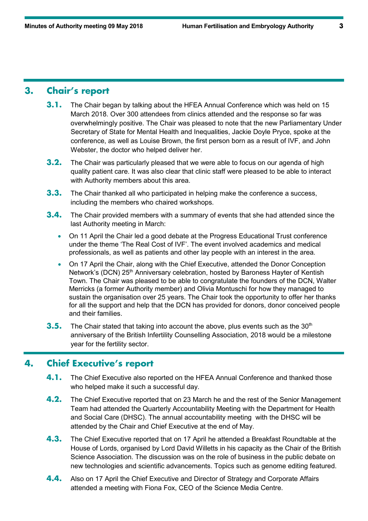# **3. Chair's report**

- **3.1.** The Chair began by talking about the HFEA Annual Conference which was held on 15 March 2018. Over 300 attendees from clinics attended and the response so far was overwhelmingly positive. The Chair was pleased to note that the new Parliamentary Under Secretary of State for Mental Health and Inequalities, Jackie Doyle Pryce, spoke at the conference, as well as Louise Brown, the first person born as a result of IVF, and John Webster, the doctor who helped deliver her.
- **3.2.** The Chair was particularly pleased that we were able to focus on our agenda of high quality patient care. It was also clear that clinic staff were pleased to be able to interact with Authority members about this area.
- **3.3.** The Chair thanked all who participated in helping make the conference a success, including the members who chaired workshops.
- **3.4.** The Chair provided members with a summary of events that she had attended since the last Authority meeting in March:
	- On 11 April the Chair led a good debate at the Progress Educational Trust conference under the theme 'The Real Cost of IVF'. The event involved academics and medical professionals, as well as patients and other lay people with an interest in the area.
	- On 17 April the Chair, along with the Chief Executive, attended the Donor Conception Network's (DCN) 25<sup>th</sup> Anniversary celebration, hosted by Baroness Hayter of Kentish Town. The Chair was pleased to be able to congratulate the founders of the DCN, Walter Merricks (a former Authority member) and Olivia Montuschi for how they managed to sustain the organisation over 25 years. The Chair took the opportunity to offer her thanks for all the support and help that the DCN has provided for donors, donor conceived people and their families.
- **3.5.** The Chair stated that taking into account the above, plus events such as the 30<sup>th</sup> anniversary of the British Infertility Counselling Association, 2018 would be a milestone year for the fertility sector.

## **4. Chief Executive's report**

- **4.1.** The Chief Executive also reported on the HFEA Annual Conference and thanked those who helped make it such a successful day.
- **4.2.** The Chief Executive reported that on 23 March he and the rest of the Senior Management Team had attended the Quarterly Accountability Meeting with the Department for Health and Social Care (DHSC). The annual accountability meeting with the DHSC will be attended by the Chair and Chief Executive at the end of May.
- **4.3.** The Chief Executive reported that on 17 April he attended a Breakfast Roundtable at the House of Lords, organised by Lord David Willetts in his capacity as the Chair of the British Science Association. The discussion was on the role of business in the public debate on new technologies and scientific advancements. Topics such as genome editing featured.
- **4.4.** Also on 17 April the Chief Executive and Director of Strategy and Corporate Affairs attended a meeting with Fiona Fox, CEO of the Science Media Centre.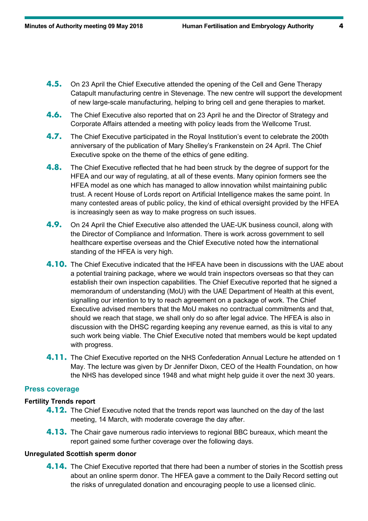- **4.5.** On 23 April the Chief Executive attended the opening of the Cell and Gene Therapy Catapult manufacturing centre in Stevenage. The new centre will support the development of new large-scale manufacturing, helping to bring cell and gene therapies to market.
- **4.6.** The Chief Executive also reported that on 23 April he and the Director of Strategy and Corporate Affairs attended a meeting with policy leads from the Wellcome Trust.
- **4.7.** The Chief Executive participated in the Royal Institution's event to celebrate the 200th anniversary of the publication of Mary Shelley's Frankenstein on 24 April. The Chief Executive spoke on the theme of the ethics of gene editing.
- **4.8.** The Chief Executive reflected that he had been struck by the degree of support for the HFEA and our way of regulating, at all of these events. Many opinion formers see the HFEA model as one which has managed to allow innovation whilst maintaining public trust. A recent House of Lords report on Artificial Intelligence makes the same point. In many contested areas of public policy, the kind of ethical oversight provided by the HFEA is increasingly seen as way to make progress on such issues.
- **4.9.** On 24 April the Chief Executive also attended the UAE-UK business council, along with the Director of Compliance and Information. There is work across government to sell healthcare expertise overseas and the Chief Executive noted how the international standing of the HFEA is very high.
- **4.10.** The Chief Executive indicated that the HFEA have been in discussions with the UAE about a potential training package, where we would train inspectors overseas so that they can establish their own inspection capabilities. The Chief Executive reported that he signed a memorandum of understanding (MoU) with the UAE Department of Health at this event, signalling our intention to try to reach agreement on a package of work. The Chief Executive advised members that the MoU makes no contractual commitments and that, should we reach that stage, we shall only do so after legal advice. The HFEA is also in discussion with the DHSC regarding keeping any revenue earned, as this is vital to any such work being viable. The Chief Executive noted that members would be kept updated with progress.
- **4.11.** The Chief Executive reported on the NHS Confederation Annual Lecture he attended on 1 May. The lecture was given by Dr Jennifer Dixon, CEO of the Health Foundation, on how the NHS has developed since 1948 and what might help guide it over the next 30 years.

#### **Press coverage**

#### **Fertility Trends report**

- **4.12.** The Chief Executive noted that the trends report was launched on the day of the last meeting, 14 March, with moderate coverage the day after.
- **4.13.** The Chair gave numerous radio interviews to regional BBC bureaux, which meant the report gained some further coverage over the following days.

#### **Unregulated Scottish sperm donor**

**4.14.** The Chief Executive reported that there had been a number of stories in the Scottish press about an online sperm donor. The HFEA gave a comment to the Daily Record setting out the risks of unregulated donation and encouraging people to use a licensed clinic.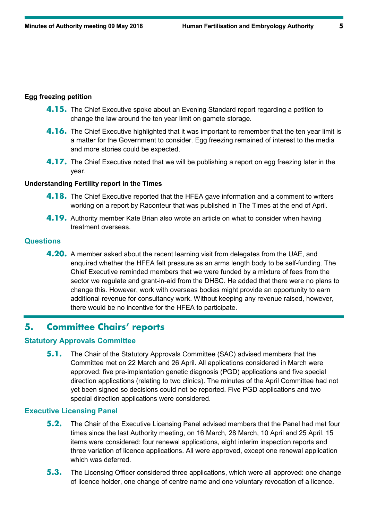#### **Egg freezing petition**

- **4.15.** The Chief Executive spoke about an Evening Standard report regarding a petition to change the law around the ten year limit on gamete storage.
- **4.16.** The Chief Executive highlighted that it was important to remember that the ten year limit is a matter for the Government to consider. Egg freezing remained of interest to the media and more stories could be expected.
- **4.17.** The Chief Executive noted that we will be publishing a report on egg freezing later in the year.

#### **Understanding Fertility report in the Times**

- **4.18.** The Chief Executive reported that the HFEA gave information and a comment to writers working on a report by Raconteur that was published in The Times at the end of April.
- **4.19.** Authority member Kate Brian also wrote an article on what to consider when having treatment overseas.

## **Questions**

**4.20.** A member asked about the recent learning visit from delegates from the UAE, and enquired whether the HFEA felt pressure as an arms length body to be self-funding. The Chief Executive reminded members that we were funded by a mixture of fees from the sector we regulate and grant-in-aid from the DHSC. He added that there were no plans to change this. However, work with overseas bodies might provide an opportunity to earn additional revenue for consultancy work. Without keeping any revenue raised, however, there would be no incentive for the HFEA to participate.

# **5. Committee Chairs' reports**

#### **Statutory Approvals Committee**

**5.1.** The Chair of the Statutory Approvals Committee (SAC) advised members that the Committee met on 22 March and 26 April. All applications considered in March were approved: five pre-implantation genetic diagnosis (PGD) applications and five special direction applications (relating to two clinics). The minutes of the April Committee had not yet been signed so decisions could not be reported. Five PGD applications and two special direction applications were considered.

### **Executive Licensing Panel**

- **5.2.** The Chair of the Executive Licensing Panel advised members that the Panel had met four times since the last Authority meeting, on 16 March, 28 March, 10 April and 25 April. 15 items were considered: four renewal applications, eight interim inspection reports and three variation of licence applications. All were approved, except one renewal application which was deferred.
- **5.3.** The Licensing Officer considered three applications, which were all approved: one change of licence holder, one change of centre name and one voluntary revocation of a licence.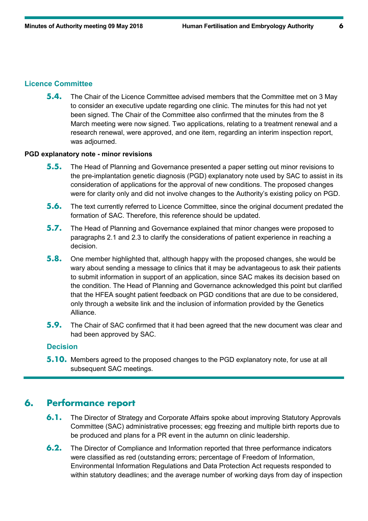#### **Licence Committee**

**5.4.** The Chair of the Licence Committee advised members that the Committee met on 3 May to consider an executive update regarding one clinic. The minutes for this had not yet been signed. The Chair of the Committee also confirmed that the minutes from the 8 March meeting were now signed. Two applications, relating to a treatment renewal and a research renewal, were approved, and one item, regarding an interim inspection report, was adjourned.

#### **PGD explanatory note - minor revisions**

- **5.5.** The Head of Planning and Governance presented a paper setting out minor revisions to the pre-implantation genetic diagnosis (PGD) explanatory note used by SAC to assist in its consideration of applications for the approval of new conditions. The proposed changes were for clarity only and did not involve changes to the Authority's existing policy on PGD.
- **5.6.** The text currently referred to Licence Committee, since the original document predated the formation of SAC. Therefore, this reference should be updated.
- **5.7.** The Head of Planning and Governance explained that minor changes were proposed to paragraphs 2.1 and 2.3 to clarify the considerations of patient experience in reaching a decision.
- **5.8.** One member highlighted that, although happy with the proposed changes, she would be wary about sending a message to clinics that it may be advantageous to ask their patients to submit information in support of an application, since SAC makes its decision based on the condition. The Head of Planning and Governance acknowledged this point but clarified that the HFEA sought patient feedback on PGD conditions that are due to be considered, only through a website link and the inclusion of information provided by the Genetics Alliance.
- **5.9.** The Chair of SAC confirmed that it had been agreed that the new document was clear and had been approved by SAC.

## **Decision**

**5.10.** Members agreed to the proposed changes to the PGD explanatory note, for use at all subsequent SAC meetings.

# **6. Performance report**

- **6.1.** The Director of Strategy and Corporate Affairs spoke about improving Statutory Approvals Committee (SAC) administrative processes; egg freezing and multiple birth reports due to be produced and plans for a PR event in the autumn on clinic leadership.
- **6.2.** The Director of Compliance and Information reported that three performance indicators were classified as red (outstanding errors; percentage of Freedom of Information, Environmental Information Regulations and Data Protection Act requests responded to within statutory deadlines; and the average number of working days from day of inspection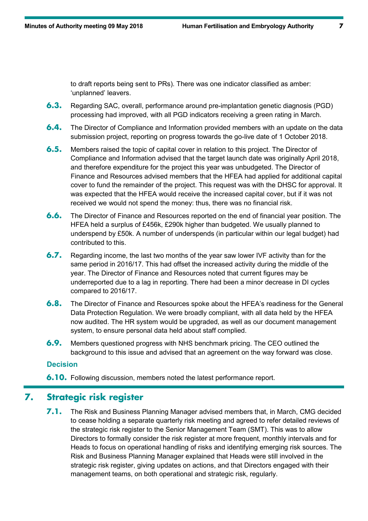to draft reports being sent to PRs). There was one indicator classified as amber: 'unplanned' leavers.

- **6.3.** Regarding SAC, overall, performance around pre-implantation genetic diagnosis (PGD) processing had improved, with all PGD indicators receiving a green rating in March.
- **6.4.** The Director of Compliance and Information provided members with an update on the data submission project, reporting on progress towards the go-live date of 1 October 2018.
- **6.5.** Members raised the topic of capital cover in relation to this project. The Director of Compliance and Information advised that the target launch date was originally April 2018, and therefore expenditure for the project this year was unbudgeted. The Director of Finance and Resources advised members that the HFEA had applied for additional capital cover to fund the remainder of the project. This request was with the DHSC for approval. It was expected that the HFEA would receive the increased capital cover, but if it was not received we would not spend the money: thus, there was no financial risk.
- **6.6.** The Director of Finance and Resources reported on the end of financial year position. The HFEA held a surplus of £456k, £290k higher than budgeted. We usually planned to underspend by £50k. A number of underspends (in particular within our legal budget) had contributed to this.
- **6.7.** Regarding income, the last two months of the year saw lower IVF activity than for the same period in 2016/17. This had offset the increased activity during the middle of the year. The Director of Finance and Resources noted that current figures may be underreported due to a lag in reporting. There had been a minor decrease in DI cycles compared to 2016/17.
- **6.8.** The Director of Finance and Resources spoke about the HFEA's readiness for the General Data Protection Regulation. We were broadly compliant, with all data held by the HFEA now audited. The HR system would be upgraded, as well as our document management system, to ensure personal data held about staff complied.
- **6.9.** Members questioned progress with NHS benchmark pricing. The CEO outlined the background to this issue and advised that an agreement on the way forward was close.

#### **Decision**

**6.10.** Following discussion, members noted the latest performance report.

# **7. Strategic risk register**

**7.1.** The Risk and Business Planning Manager advised members that, in March, CMG decided to cease holding a separate quarterly risk meeting and agreed to refer detailed reviews of the strategic risk register to the Senior Management Team (SMT). This was to allow Directors to formally consider the risk register at more frequent, monthly intervals and for Heads to focus on operational handling of risks and identifying emerging risk sources. The Risk and Business Planning Manager explained that Heads were still involved in the strategic risk register, giving updates on actions, and that Directors engaged with their management teams, on both operational and strategic risk, regularly.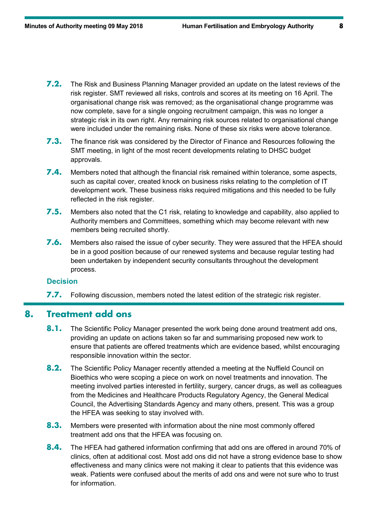- **7.2.** The Risk and Business Planning Manager provided an update on the latest reviews of the risk register. SMT reviewed all risks, controls and scores at its meeting on 16 April. The organisational change risk was removed; as the organisational change programme was now complete, save for a single ongoing recruitment campaign, this was no longer a strategic risk in its own right. Any remaining risk sources related to organisational change were included under the remaining risks. None of these six risks were above tolerance.
- **7.3.** The finance risk was considered by the Director of Finance and Resources following the SMT meeting, in light of the most recent developments relating to DHSC budget approvals.
- **7.4.** Members noted that although the financial risk remained within tolerance, some aspects, such as capital cover, created knock on business risks relating to the completion of IT development work. These business risks required mitigations and this needed to be fully reflected in the risk register.
- **7.5.** Members also noted that the C1 risk, relating to knowledge and capability, also applied to Authority members and Committees, something which may become relevant with new members being recruited shortly.
- **7.6.** Members also raised the issue of cyber security. They were assured that the HFEA should be in a good position because of our renewed systems and because regular testing had been undertaken by independent security consultants throughout the development process.

**7.7.** Following discussion, members noted the latest edition of the strategic risk register.

## **8. Treatment add ons**

- **8.1.** The Scientific Policy Manager presented the work being done around treatment add ons, providing an update on actions taken so far and summarising proposed new work to ensure that patients are offered treatments which are evidence based, whilst encouraging responsible innovation within the sector.
- **8.2.** The Scientific Policy Manager recently attended a meeting at the Nuffield Council on Bioethics who were scoping a piece on work on novel treatments and innovation. The meeting involved parties interested in fertility, surgery, cancer drugs, as well as colleagues from the Medicines and Healthcare Products Regulatory Agency, the General Medical Council, the Advertising Standards Agency and many others, present. This was a group the HFEA was seeking to stay involved with.
- **8.3.** Members were presented with information about the nine most commonly offered treatment add ons that the HFEA was focusing on.
- **8.4.** The HFEA had gathered information confirming that add ons are offered in around 70% of clinics, often at additional cost. Most add ons did not have a strong evidence base to show effectiveness and many clinics were not making it clear to patients that this evidence was weak. Patients were confused about the merits of add ons and were not sure who to trust for information.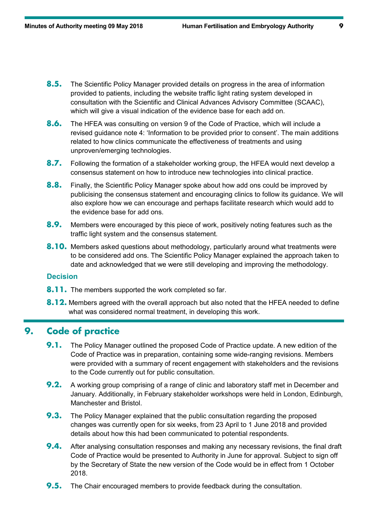- **8.5.** The Scientific Policy Manager provided details on progress in the area of information provided to patients, including the website traffic light rating system developed in consultation with the Scientific and Clinical Advances Advisory Committee (SCAAC), which will give a visual indication of the evidence base for each add on.
- **8.6.** The HFEA was consulting on version 9 of the Code of Practice, which will include a revised guidance note 4: 'Information to be provided prior to consent'. The main additions related to how clinics communicate the effectiveness of treatments and using unproven/emerging technologies.
- **8.7.** Following the formation of a stakeholder working group, the HFEA would next develop a consensus statement on how to introduce new technologies into clinical practice.
- **8.8.** Finally, the Scientific Policy Manager spoke about how add ons could be improved by publicising the consensus statement and encouraging clinics to follow its guidance. We will also explore how we can encourage and perhaps facilitate research which would add to the evidence base for add ons.
- **8.9.** Members were encouraged by this piece of work, positively noting features such as the traffic light system and the consensus statement.
- **8.10.** Members asked questions about methodology, particularly around what treatments were to be considered add ons. The Scientific Policy Manager explained the approach taken to date and acknowledged that we were still developing and improving the methodology.

- **8.11.** The members supported the work completed so far.
- **8.12.** Members agreed with the overall approach but also noted that the HFEA needed to define what was considered normal treatment, in developing this work.

## **9. Code of practice**

- **9.1.** The Policy Manager outlined the proposed Code of Practice update. A new edition of the Code of Practice was in preparation, containing some wide-ranging revisions. Members were provided with a summary of recent engagement with stakeholders and the revisions to the Code currently out for public consultation.
- **9.2.** A working group comprising of a range of clinic and laboratory staff met in December and January. Additionally, in February stakeholder workshops were held in London, Edinburgh, Manchester and Bristol.
- **9.3.** The Policy Manager explained that the public consultation regarding the proposed changes was currently open for six weeks, from 23 April to 1 June 2018 and provided details about how this had been communicated to potential respondents.
- **9.4.** After analysing consultation responses and making any necessary revisions, the final draft Code of Practice would be presented to Authority in June for approval. Subject to sign off by the Secretary of State the new version of the Code would be in effect from 1 October 2018.
- **9.5.** The Chair encouraged members to provide feedback during the consultation.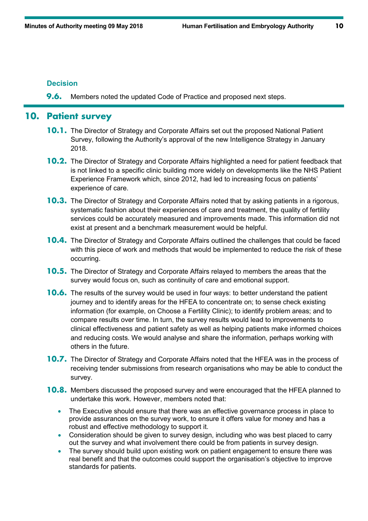**9.6.** Members noted the updated Code of Practice and proposed next steps.

# **10. Patient survey**

- **10.1.** The Director of Strategy and Corporate Affairs set out the proposed National Patient Survey, following the Authority's approval of the new Intelligence Strategy in January 2018.
- **10.2.** The Director of Strategy and Corporate Affairs highlighted a need for patient feedback that is not linked to a specific clinic building more widely on developments like the NHS Patient Experience Framework which, since 2012, had led to increasing focus on patients' experience of care.
- **10.3.** The Director of Strategy and Corporate Affairs noted that by asking patients in a rigorous, systematic fashion about their experiences of care and treatment, the quality of fertility services could be accurately measured and improvements made. This information did not exist at present and a benchmark measurement would be helpful.
- **10.4.** The Director of Strategy and Corporate Affairs outlined the challenges that could be faced with this piece of work and methods that would be implemented to reduce the risk of these occurring.
- **10.5.** The Director of Strategy and Corporate Affairs relayed to members the areas that the survey would focus on, such as continuity of care and emotional support.
- **10.6.** The results of the survey would be used in four ways: to better understand the patient journey and to identify areas for the HFEA to concentrate on; to sense check existing information (for example, on Choose a Fertility Clinic); to identify problem areas; and to compare results over time. In turn, the survey results would lead to improvements to clinical effectiveness and patient safety as well as helping patients make informed choices and reducing costs. We would analyse and share the information, perhaps working with others in the future.
- **10.7.** The Director of Strategy and Corporate Affairs noted that the HFEA was in the process of receiving tender submissions from research organisations who may be able to conduct the survey.
- **10.8.** Members discussed the proposed survey and were encouraged that the HFEA planned to undertake this work. However, members noted that:
	- The Executive should ensure that there was an effective governance process in place to provide assurances on the survey work, to ensure it offers value for money and has a robust and effective methodology to support it.
	- Consideration should be given to survey design, including who was best placed to carry out the survey and what involvement there could be from patients in survey design.
	- The survey should build upon existing work on patient engagement to ensure there was real benefit and that the outcomes could support the organisation's objective to improve standards for patients.